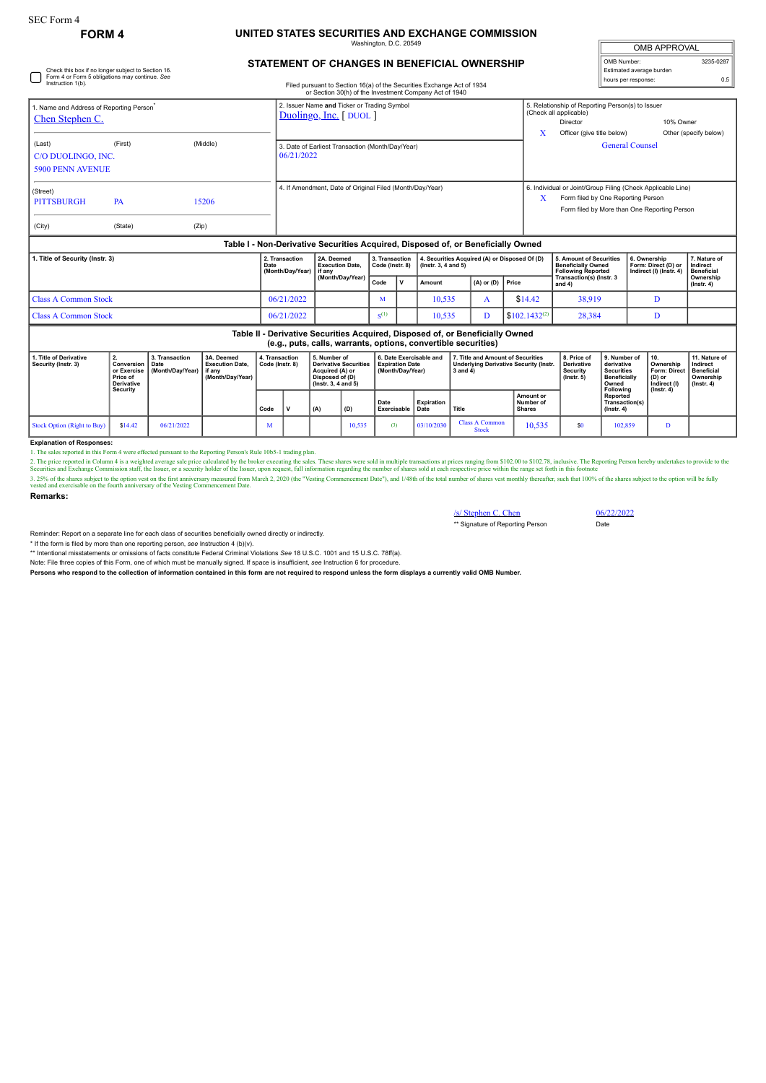## **FORM 4 UNITED STATES SECURITIES AND EXCHANGE COMMISSION** mgton, D.C. 20

**STATEMENT OF CHANGES IN BENEFICIAL OWNERSHIP**

| <b>OMB APPROVAL</b>      |           |  |  |  |  |  |  |  |
|--------------------------|-----------|--|--|--|--|--|--|--|
| OMB Number:              | 3235-0287 |  |  |  |  |  |  |  |
| Estimated average burden |           |  |  |  |  |  |  |  |
| hours per response:      |           |  |  |  |  |  |  |  |

| Check this box if no longer subject to Section 16.<br>Form 4 or Form 5 obligations may continue. See<br>Instruction 1(b). |                                                                                     |                                            |                                                                    |                                    |                                                                        |                                                |                                                                                                           |                                                                |                                                                       |                                                        |                                                                                                                                                 |                                                                                    |                                                                                        | hours per response:                                                                          | Estimated average burden                                                                                    | 0.5                                                                             |
|---------------------------------------------------------------------------------------------------------------------------|-------------------------------------------------------------------------------------|--------------------------------------------|--------------------------------------------------------------------|------------------------------------|------------------------------------------------------------------------|------------------------------------------------|-----------------------------------------------------------------------------------------------------------|----------------------------------------------------------------|-----------------------------------------------------------------------|--------------------------------------------------------|-------------------------------------------------------------------------------------------------------------------------------------------------|------------------------------------------------------------------------------------|----------------------------------------------------------------------------------------|----------------------------------------------------------------------------------------------|-------------------------------------------------------------------------------------------------------------|---------------------------------------------------------------------------------|
|                                                                                                                           |                                                                                     |                                            |                                                                    |                                    |                                                                        |                                                |                                                                                                           |                                                                |                                                                       | or Section 30(h) of the Investment Company Act of 1940 | Filed pursuant to Section 16(a) of the Securities Exchange Act of 1934                                                                          |                                                                                    |                                                                                        |                                                                                              |                                                                                                             |                                                                                 |
| 1. Name and Address of Reporting Person <sup>®</sup><br>Chen Stephen C.                                                   |                                                                                     |                                            |                                                                    |                                    | 2. Issuer Name and Ticker or Trading Symbol<br>Duolingo, Inc. [ DUOL ] |                                                |                                                                                                           |                                                                |                                                                       |                                                        |                                                                                                                                                 |                                                                                    | 5. Relationship of Reporting Person(s) to Issuer<br>(Check all applicable)<br>Director |                                                                                              | 10% Owner                                                                                                   |                                                                                 |
| (Last)<br>C/O DUOLINGO. INC.<br><b>5900 PENN AVENUE</b>                                                                   | (First)                                                                             |                                            | (Middle)                                                           |                                    | 3. Date of Earliest Transaction (Month/Day/Year)<br>06/21/2022         |                                                |                                                                                                           |                                                                |                                                                       |                                                        |                                                                                                                                                 | X<br>Other (specify below)<br>Officer (give title below)<br><b>General Counsel</b> |                                                                                        |                                                                                              |                                                                                                             |                                                                                 |
| (Street)<br><b>PITTSBURGH</b><br>(City)                                                                                   | <b>PA</b><br>(State)                                                                | (Zip)                                      | 15206                                                              |                                    | 4. If Amendment, Date of Original Filed (Month/Day/Year)               |                                                |                                                                                                           |                                                                |                                                                       |                                                        |                                                                                                                                                 | X                                                                                  | Form filed by One Reporting Person                                                     |                                                                                              | 6. Individual or Joint/Group Filing (Check Applicable Line)<br>Form filed by More than One Reporting Person |                                                                                 |
|                                                                                                                           |                                                                                     |                                            |                                                                    |                                    |                                                                        |                                                |                                                                                                           |                                                                |                                                                       |                                                        | Table I - Non-Derivative Securities Acquired, Disposed of, or Beneficially Owned                                                                |                                                                                    |                                                                                        |                                                                                              |                                                                                                             |                                                                                 |
| 1. Title of Security (Instr. 3)                                                                                           |                                                                                     |                                            | Date                                                               | 2. Transaction<br>(Month/Day/Year) |                                                                        | 2A. Deemed<br><b>Execution Date,</b><br>if any |                                                                                                           | 3. Transaction<br>$($ Instr. 3, 4 and 5 $)$<br>Code (Instr. 8) |                                                                       | 4. Securities Acquired (A) or Disposed Of (D)          |                                                                                                                                                 | 5. Amount of Securities<br><b>Beneficially Owned</b><br><b>Following Reported</b>  |                                                                                        | 6. Ownership<br>Form: Direct (D) or<br>Indirect (I) (Instr. 4)                               | 7. Nature of<br>Indirect<br><b>Beneficial</b>                                                               |                                                                                 |
|                                                                                                                           |                                                                                     |                                            |                                                                    |                                    |                                                                        |                                                | (Month/Day/Year)                                                                                          |                                                                | $\mathbf v$                                                           | Amount                                                 | $(A)$ or $(D)$                                                                                                                                  | Price                                                                              | Transaction(s) (Instr. 3<br>and 4)                                                     |                                                                                              |                                                                                                             | Ownership<br>$($ lnstr. 4 $)$                                                   |
| <b>Class A Common Stock</b>                                                                                               |                                                                                     |                                            |                                                                    |                                    | 06/21/2022                                                             |                                                | M                                                                                                         |                                                                | 10.535                                                                | $\mathbf{A}$                                           | \$14.42                                                                                                                                         | 38.919                                                                             |                                                                                        | D                                                                                            |                                                                                                             |                                                                                 |
| <b>Class A Common Stock</b>                                                                                               |                                                                                     |                                            |                                                                    |                                    | 06/21/2022                                                             |                                                | $S^{(1)}$                                                                                                 |                                                                | D<br>10,535                                                           |                                                        | $$102.1432^{(2)}$                                                                                                                               | 28,384                                                                             |                                                                                        | D                                                                                            |                                                                                                             |                                                                                 |
|                                                                                                                           |                                                                                     |                                            |                                                                    |                                    |                                                                        |                                                |                                                                                                           |                                                                |                                                                       |                                                        | Table II - Derivative Securities Acquired, Disposed of, or Beneficially Owned<br>(e.g., puts, calls, warrants, options, convertible securities) |                                                                                    |                                                                                        |                                                                                              |                                                                                                             |                                                                                 |
| 1. Title of Derivative<br>Security (Instr. 3)                                                                             | 2.<br>Conversion<br>or Exercise<br>Price of<br><b>Derivative</b><br><b>Security</b> | 3. Transaction<br>Date<br>(Month/Day/Year) | 3A. Deemed<br><b>Execution Date.</b><br>if any<br>(Month/Day/Year) |                                    | 4. Transaction<br>Code (Instr. 8)                                      |                                                | 5. Number of<br><b>Derivative Securities</b><br>Acquired (A) or<br>Disposed of (D)<br>(Instr. 3, 4 and 5) |                                                                | 6. Date Exercisable and<br><b>Expiration Date</b><br>(Month/Day/Year) |                                                        | 7. Title and Amount of Securities<br><b>Underlying Derivative Security (Instr.</b><br>$3$ and $4)$                                              |                                                                                    | 8. Price of<br><b>Derivative</b><br>Security<br>$($ lnstr. 5 $)$                       | 9. Number of<br>derivative<br><b>Securities</b><br><b>Beneficially</b><br>Owned<br>Following | 10.<br>Ownership<br><b>Form: Direct</b><br>(D) or<br>Indirect (I)<br>(Instr. 4)                             | 11. Nature of<br>Indirect<br><b>Beneficial</b><br>Ownership<br>$($ lnstr. 4 $)$ |
|                                                                                                                           |                                                                                     |                                            |                                                                    | Code                               | v                                                                      | (A)                                            | (D)                                                                                                       | Date<br><b>Exercisable</b>                                     |                                                                       | Expiration<br>Date                                     | Title                                                                                                                                           | Amount or<br>Number of<br><b>Shares</b>                                            |                                                                                        | Reported<br>Transaction(s)<br>$($ lnstr. 4 $)$                                               |                                                                                                             |                                                                                 |
| <b>Stock Option (Right to Buy)</b>                                                                                        | \$14.42                                                                             | 06/21/2022                                 |                                                                    | М                                  |                                                                        |                                                | 10,535                                                                                                    | (3)                                                            |                                                                       | 03/10/2030                                             | <b>Class A Common</b><br><b>Stock</b>                                                                                                           | 10,535                                                                             | \$0                                                                                    | 102,859                                                                                      | D                                                                                                           |                                                                                 |
| <b>Evnlanation of Reenonces:</b>                                                                                          |                                                                                     |                                            |                                                                    |                                    |                                                                        |                                                |                                                                                                           |                                                                |                                                                       |                                                        |                                                                                                                                                 |                                                                                    |                                                                                        |                                                                                              |                                                                                                             |                                                                                 |

**Explanation of Responses:**<br>1. The sales reported in ISo Form 4 were effected pursuant to the Reporting Person's Rule 10b5-1 trading plan.<br>2. The price reported in Column 4 is a weighted average sale price calculated by th

**Remarks:**

/s/ Stephen C. Chen 06/22/2022 \*\* Signature of Reporting Person Date

Reminder: Report on a separate line for each class of securities beneficially owned directly or indirectly.

\* If the form is filed by more than one reporting person, see Instruction 4 (b)(v).<br>\*\* Intentional misstatements or omissions of facts constitute Federal Criminal Violations See 18 U.S.C. 1001 and 15 U.S.C. 78ff(a).

Note: File three copies of this Form, one of which must be manually signed. If space is insufficient, *see* Instruction 6 for procedure.

**Persons who respond to the collection of information contained in this form are not required to respond unless the form displays a currently valid OMB Number.**